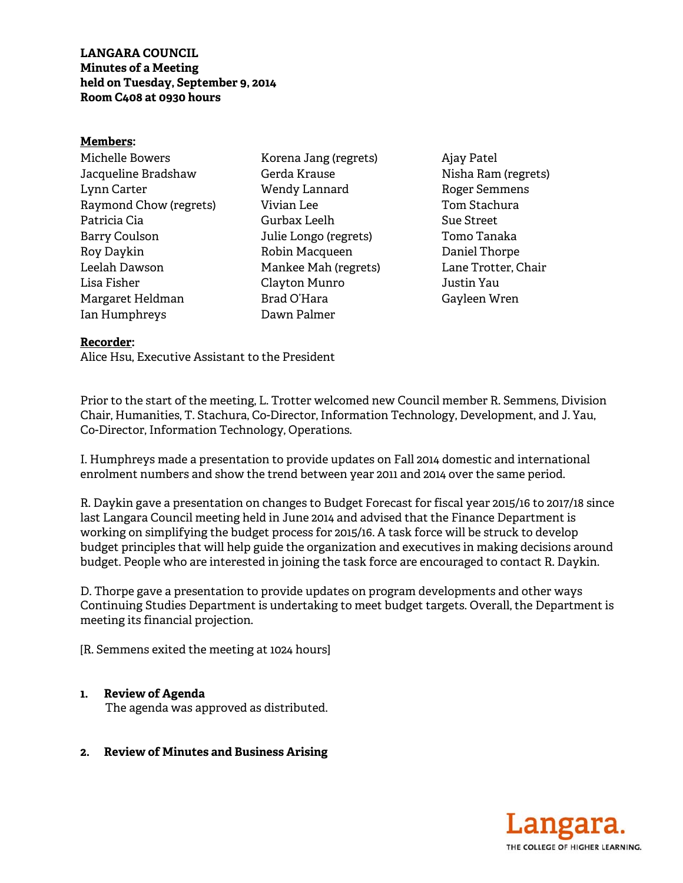**LANGARA COUNCIL Minutes of a Meeting held on Tuesday, September 9, 2014 Room C408 at 0930 hours** 

#### **Members:**

Michelle Bowers Jacqueline Bradshaw Lynn Carter Raymond Chow (regrets) Patricia Cia Barry Coulson Roy Daykin Leelah Dawson Lisa Fisher Margaret Heldman Ian Humphreys

Korena Jang (regrets) Gerda Krause Wendy Lannard Vivian Lee Gurbax Leelh Julie Longo (regrets) Robin Macqueen Mankee Mah (regrets) Clayton Munro Brad O'Hara Dawn Palmer

Ajay Patel Nisha Ram (regrets) Roger Semmens Tom Stachura Sue Street Tomo Tanaka Daniel Thorpe Lane Trotter, Chair Justin Yau Gayleen Wren

#### **Recorder:**

Alice Hsu, Executive Assistant to the President

Prior to the start of the meeting, L. Trotter welcomed new Council member R. Semmens, Division Chair, Humanities, T. Stachura, Co-Director, Information Technology, Development, and J. Yau, Co-Director, Information Technology, Operations.

I. Humphreys made a presentation to provide updates on Fall 2014 domestic and international enrolment numbers and show the trend between year 2011 and 2014 over the same period.

R. Daykin gave a presentation on changes to Budget Forecast for fiscal year 2015/16 to 2017/18 since last Langara Council meeting held in June 2014 and advised that the Finance Department is working on simplifying the budget process for 2015/16. A task force will be struck to develop budget principles that will help guide the organization and executives in making decisions around budget. People who are interested in joining the task force are encouraged to contact R. Daykin.

D. Thorpe gave a presentation to provide updates on program developments and other ways Continuing Studies Department is undertaking to meet budget targets. Overall, the Department is meeting its financial projection.

[R. Semmens exited the meeting at 1024 hours]

### **1. Review of Agenda**

The agenda was approved as distributed.

### **2. Review of Minutes and Business Arising**

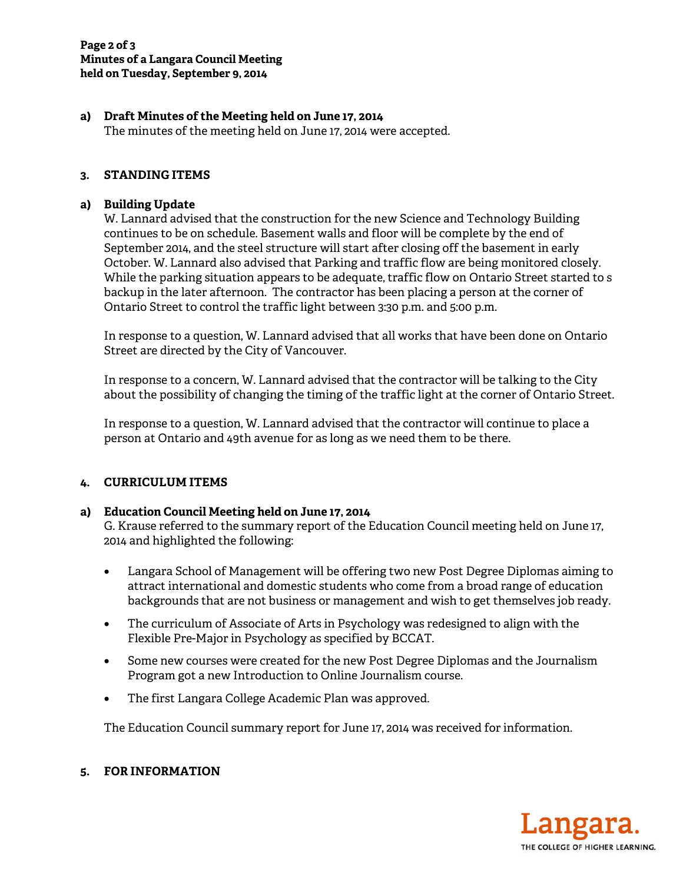## **a) Draft Minutes of the Meeting held on June 17, 2014**

The minutes of the meeting held on June 17, 2014 were accepted.

# **3. STANDING ITEMS**

### **a) Building Update**

W. Lannard advised that the construction for the new Science and Technology Building continues to be on schedule. Basement walls and floor will be complete by the end of September 2014, and the steel structure will start after closing off the basement in early October. W. Lannard also advised that Parking and traffic flow are being monitored closely. While the parking situation appears to be adequate, traffic flow on Ontario Street started to s backup in the later afternoon. The contractor has been placing a person at the corner of Ontario Street to control the traffic light between 3:30 p.m. and 5:00 p.m.

In response to a question, W. Lannard advised that all works that have been done on Ontario Street are directed by the City of Vancouver.

In response to a concern, W. Lannard advised that the contractor will be talking to the City about the possibility of changing the timing of the traffic light at the corner of Ontario Street.

In response to a question, W. Lannard advised that the contractor will continue to place a person at Ontario and 49th avenue for as long as we need them to be there.

### **4. CURRICULUM ITEMS**

### **a) Education Council Meeting held on June 17, 2014**

G. Krause referred to the summary report of the Education Council meeting held on June 17, 2014 and highlighted the following:

- Langara School of Management will be offering two new Post Degree Diplomas aiming to attract international and domestic students who come from a broad range of education backgrounds that are not business or management and wish to get themselves job ready.
- The curriculum of Associate of Arts in Psychology was redesigned to align with the Flexible Pre-Major in Psychology as specified by BCCAT.
- Some new courses were created for the new Post Degree Diplomas and the Journalism Program got a new Introduction to Online Journalism course.
- The first Langara College Academic Plan was approved.

The Education Council summary report for June 17, 2014 was received for information.



## **5. FOR INFORMATION**